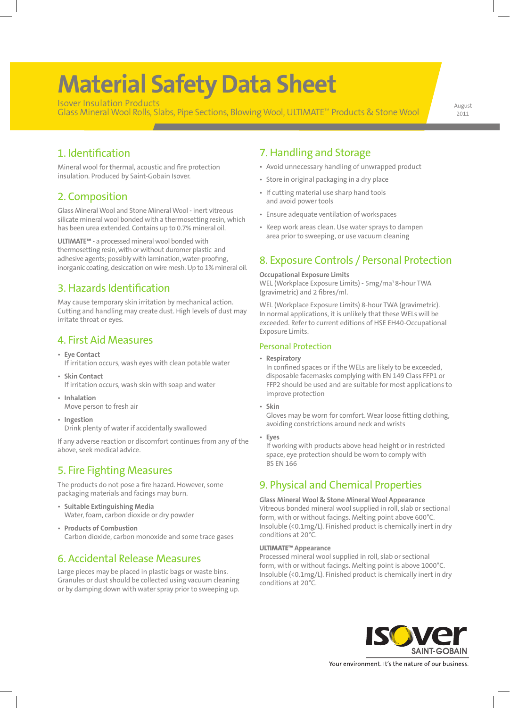# **Material Safety Data Sheet**

Isover Insulation Products Isover Insulation Products<br>Glass Mineral Wool Rolls, Slabs, Pipe Sections, Blowing Wool, ULTIMATE™ Products & Stone Wool (august

2011

### 1. Identification

Mineral wool for thermal, acoustic and fire protection insulation. Produced by Saint-Gobain Isover.

### 2. Composition

Glass Mineral Wool and Stone Mineral Wool - inert vitreous silicate mineral wool bonded with a thermosetting resin, which has been urea extended. Contains up to 0.7% mineral oil.

**ULTIMATE™** - a processed mineral wool bonded with thermosetting resin, with or without duromer plastic and adhesive agents; possibly with lamination, water-proofing, inorganic coating, desiccation on wire mesh. Up to 1% mineral oil.

# 3. Hazards Identification

May cause temporary skin irritation by mechanical action. Cutting and handling may create dust. High levels of dust may irritate throat or eyes.

### 4. First Aid Measures

- **Eye Contact** If irritation occurs, wash eyes with clean potable water
- **Skin Contact** If irritation occurs, wash skin with soap and water
- **Inhalation** Move person to fresh air
- **Ingestion** Drink plenty of water if accidentally swallowed

If any adverse reaction or discomfort continues from any of the above, seek medical advice.

# 5. Fire Fighting Measures

The products do not pose a fire hazard. However, some packaging materials and facings may burn.

- **Suitable Extinguishing Media** Water, foam, carbon dioxide or dry powder
- **Products of Combustion** Carbon dioxide, carbon monoxide and some trace gases

### 6. Accidental Release Measures

Large pieces may be placed in plastic bags or waste bins. Granules or dust should be collected using vacuum cleaning or by damping down with water spray prior to sweeping up.

# 7. Handling and Storage

- Avoid unnecessary handling of unwrapped product
- Store in original packaging in a dry place
- If cutting material use sharp hand tools and avoid power tools
- Ensure adequate ventilation of workspaces
- Keep work areas clean. Use water sprays to dampen area prior to sweeping, or use vacuum cleaning

# 8. Exposure Controls / Personal Protection

#### **Occupational Exposure Limits**

WEL (Workplace Exposure Limits) - 5mg/ma<sup>3</sup> 8-hour TWA (gravimetric) and 2 fibres/ml.

WEL (Workplace Exposure Limits) 8-hour TWA (gravimetric). In normal applications, it is unlikely that these WELs will be exceeded. Refer to current editions of HSE EH40-Occupational Exposure Limits.

#### Personal Protection

• **Respiratory**

In confined spaces or if the WELs are likely to be exceeded, disposable facemasks complying with EN 149 Class FFP1 or FFP2 should be used and are suitable for most applications to improve protection

• **Skin**

Gloves may be worn for comfort. Wear loose fitting clothing, avoiding constrictions around neck and wrists

• **Eyes**

If working with products above head height or in restricted space, eye protection should be worn to comply with BS EN 166

# 9. Physical and Chemical Properties

#### **Glass Mineral Wool & Stone Mineral Wool Appearance**

Vitreous bonded mineral wool supplied in roll, slab or sectional form, with or without facings. Melting point above 600°C. Insoluble (<0.1mg/L). Finished product is chemically inert in dry conditions at 20°C.

#### **ULTIMATE™ Appearance**

Processed mineral wool supplied in roll, slab or sectional form, with or without facings. Melting point is above 1000°C. Insoluble (<0.1mg/L). Finished product is chemically inert in dry conditions at 20°C.